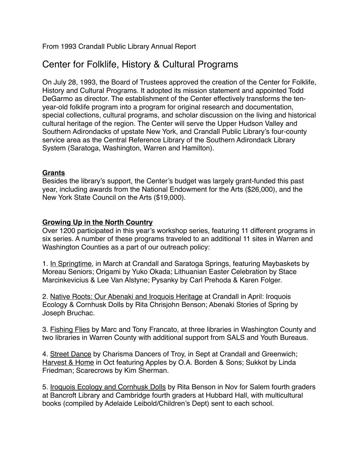From 1993 Crandall Public Library Annual Report

# Center for Folklife, History & Cultural Programs

On July 28, 1993, the Board of Trustees approved the creation of the Center for Folklife, History and Cultural Programs. It adopted its mission statement and appointed Todd DeGarmo as director. The establishment of the Center effectively transforms the tenyear-old folklife program into a program for original research and documentation, special collections, cultural programs, and scholar discussion on the living and historical cultural heritage of the region. The Center will serve the Upper Hudson Valley and Southern Adirondacks of upstate New York, and Crandall Public Library's four-county service area as the Central Reference Library of the Southern Adirondack Library System (Saratoga, Washington, Warren and Hamilton).

### **Grants**

Besides the library's support, the Center's budget was largely grant-funded this past year, including awards from the National Endowment for the Arts (\$26,000), and the New York State Council on the Arts (\$19,000).

## **Growing Up in the North Country**

Over 1200 participated in this year's workshop series, featuring 11 different programs in six series. A number of these programs traveled to an additional 11 sites in Warren and Washington Counties as a part of our outreach policy:

1. In Springtime, in March at Crandall and Saratoga Springs, featuring Maybaskets by Moreau Seniors; Origami by Yuko Okada; Lithuanian Easter Celebration by Stace Marcinkevicius & Lee Van Alstyne; Pysanky by Carl Prehoda & Karen Folger.

2. Native Roots: Our Abenaki and Iroquois Heritage at Crandall in April: Iroquois Ecology & Cornhusk Dolls by Rita Chrisjohn Benson; Abenaki Stories of Spring by Joseph Bruchac.

3. Fishing Flies by Marc and Tony Francato, at three libraries in Washington County and two libraries in Warren County with additional support from SALS and Youth Bureaus.

4. Street Dance by Charisma Dancers of Troy, in Sept at Crandall and Greenwich; Harvest & Home in Oct featuring Apples by O.A. Borden & Sons; Sukkot by Linda Friedman; Scarecrows by Kim Sherman.

5. Iroquois Ecology and Cornhusk Dolls by Rita Benson in Nov for Salem fourth graders at Bancroft Library and Cambridge fourth graders at Hubbard Hall, with multicultural books (compiled by Adelaide Leibold/Children's Dept) sent to each school.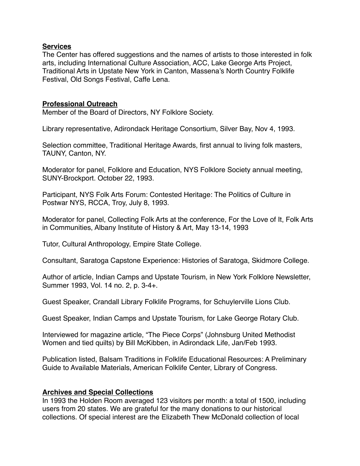#### **Services**

The Center has offered suggestions and the names of artists to those interested in folk arts, including International Culture Association, ACC, Lake George Arts Project, Traditional Arts in Upstate New York in Canton, Massena's North Country Folklife Festival, Old Songs Festival, Caffe Lena.

#### **Professional Outreach**

Member of the Board of Directors, NY Folklore Society.

Library representative, Adirondack Heritage Consortium, Silver Bay, Nov 4, 1993.

Selection committee, Traditional Heritage Awards, first annual to living folk masters, TAUNY, Canton, NY.

Moderator for panel, Folklore and Education, NYS Folklore Society annual meeting, SUNY-Brockport. October 22, 1993.

Participant, NYS Folk Arts Forum: Contested Heritage: The Politics of Culture in Postwar NYS, RCCA, Troy, July 8, 1993.

Moderator for panel, Collecting Folk Arts at the conference, For the Love of It, Folk Arts in Communities, Albany Institute of History & Art, May 13-14, 1993

Tutor, Cultural Anthropology, Empire State College.

Consultant, Saratoga Capstone Experience: Histories of Saratoga, Skidmore College.

Author of article, Indian Camps and Upstate Tourism, in New York Folklore Newsletter, Summer 1993, Vol. 14 no. 2, p. 3-4+.

Guest Speaker, Crandall Library Folklife Programs, for Schuylerville Lions Club.

Guest Speaker, Indian Camps and Upstate Tourism, for Lake George Rotary Club.

Interviewed for magazine article, "The Piece Corps" (Johnsburg United Methodist Women and tied quilts) by Bill McKibben, in Adirondack Life, Jan/Feb 1993.

Publication listed, Balsam Traditions in Folklife Educational Resources: A Preliminary Guide to Available Materials, American Folklife Center, Library of Congress.

#### **Archives and Special Collections**

In 1993 the Holden Room averaged 123 visitors per month: a total of 1500, including users from 20 states. We are grateful for the many donations to our historical collections. Of special interest are the Elizabeth Thew McDonald collection of local